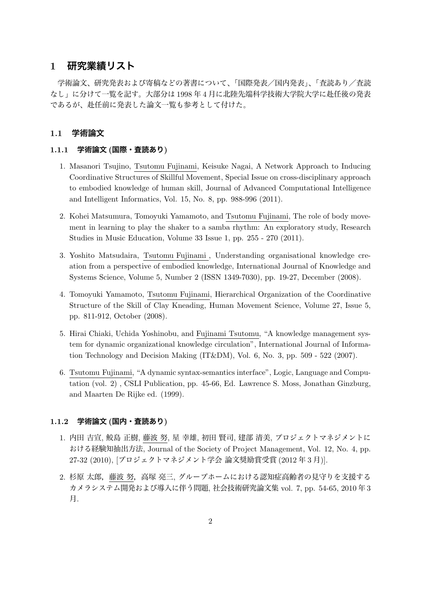# **1 研究業績リスト**

学術論文、研究発表および寄稿などの著書について、「国際発表/国内発表」、「査読あり/査読 なし」に分けて一覧を記す。大部分は 1998 年 4 月に北陸先端科学技術大学院大学に赴任後の発表 であるが、赴任前に発表した論文一覧も参考として付けた。

## **1.1 学術論文**

#### **1.1.1 学術論文 (国際・査読あり)**

- 1. Masanori Tsujino, Tsutomu Fujinami, Keisuke Nagai, A Network Approach to Inducing Coordinative Structures of Skillful Movement, Special Issue on cross-disciplinary approach to embodied knowledge of human skill, Journal of Advanced Computational Intelligence and Intelligent Informatics, Vol. 15, No. 8, pp. 988-996 (2011).
- 2. Kohei Matsumura, Tomoyuki Yamamoto, and Tsutomu Fujinami, The role of body movement in learning to play the shaker to a samba rhythm: An exploratory study, Research Studies in Music Education, Volume 33 Issue 1, pp. 255 - 270 (2011).
- 3. Yoshito Matsudaira, Tsutomu Fujinami , Understanding organisational knowledge creation from a perspective of embodied knowledge, International Journal of Knowledge and Systems Science, Volume 5, Number 2 (ISSN 1349-7030), pp. 19-27, December (2008).
- 4. Tomoyuki Yamamoto, Tsutomu Fujinami, Hierarchical Organization of the Coordinative Structure of the Skill of Clay Kneading, Human Movement Science, Volume 27, Issue 5, pp. 811-912, October (2008).
- 5. Hirai Chiaki, Uchida Yoshinobu, and Fujinami Tsutomu, "A knowledge management system for dynamic organizational knowledge circulation", International Journal of Information Technology and Decision Making (IT&DM), Vol. 6, No. 3, pp. 509 - 522 (2007).
- 6. Tsutomu Fujinami, "A dynamic syntax-semantics interface", Logic, Language and Computation (vol. 2) , CSLI Publication, pp. 45-66, Ed. Lawrence S. Moss, Jonathan Ginzburg, and Maarten De Rijke ed. (1999).

## **1.1.2 学術論文 (国内・査読あり)**

- 1. 内田 吉宣, 鮫島 正樹, 藤波 努, 星 幸雄, 初田 賢司, 建部 清美, プロジェクトマネジメントに おける経験知抽出方法, Journal of the Society of Project Management, Vol. 12, No. 4, pp. 27-32 (2010), [プロジェクトマネジメント学会 論文奨励賞受賞 (2012 年 3 月)].
- 2. 杉原 太郎,藤波 努,高塚 亮三, グループホームにおける認知症高齢者の見守りを支援する カメラシステム開発および導入に伴う問題, 社会技術研究論文集 vol. 7, pp. 54-65, 2010 年 3 月.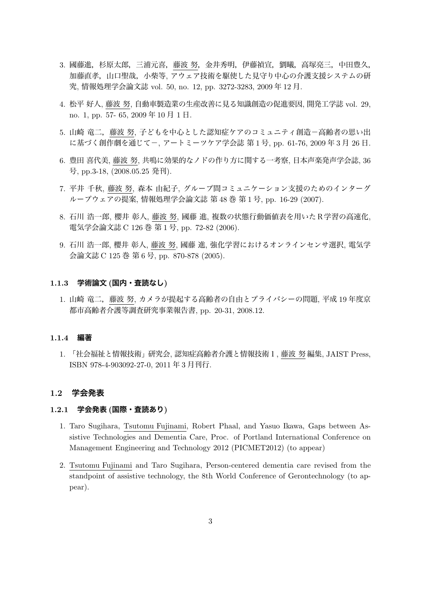- 3. 國藤進,杉原太郎,三浦元喜,藤波 努,金井秀明,伊藤禎宣,劉曦,高塚亮三,中田豊久, 加藤直孝,山口聖哉,小柴等, アウェア技術を駆使した見守り中心の介護支援システムの研 究, 情報処理学会論文誌 vol. 50, no. 12, pp. 3272-3283, 2009 年 12 月.
- 4. 松平 好人, 藤波 努, 自動車製造業の生産改善に見る知識創造の促進要因, 開発工学誌 vol. 29, no. 1, pp. 57- 65, 2009 年 10 月 1 日.
- 5. 山崎 竜二,藤波 努, 子どもを中心とした認知症ケアのコミュニティ創造-高齢者の思い出 に基づく創作劇を通じてー, アートミーツケア学会誌 第1号, pp. 61-76, 2009年3月 26日.
- 6. 豊田 喜代美, 藤波 努, 共鳴に効果的なノドの作り方に関する一考察, 日本声楽発声学会誌, 36 号, pp.3-18, (2008.05.25 発刊).
- 7. 平井 千秋, 藤波 努, 森本 由紀子, グループ間コミュニケーション支援のためのインターグ ループウェアの提案, 情報処理学会論文誌 第 48 巻 第 1 号, pp. 16-29 (2007).
- 8. 石川 浩一郎, 櫻井 彰人, 藤波 努, 國藤 進, 複数の状態行動価値表を用いたR学習の高速化, 電気学会論文誌 C 126 巻 第 1 号, pp. 72-82 (2006).
- 9. 石川 浩一郎, 櫻井 彰人, 藤波 努, 國藤 進, 強化学習におけるオンラインセンサ選択, 電気学 会論文誌 C 125 巻 第 6 号, pp. 870-878 (2005).

#### **1.1.3 学術論文 (国内・査読なし)**

1. 山崎 竜二,藤波 努, カメラが提起する高齢者の自由とプライバシーの問題, 平成 19 年度京 都市高齢者介護等調査研究事業報告書, pp. 20-31, 2008.12.

#### **1.1.4 編著**

1. 「社会福祉と情報技術」研究会, 認知症高齢者介護と情報技術1, 藤波 努 編集, JAIST Press, ISBN 978-4-903092-27-0, 2011 年 3 月刊行.

#### **1.2 学会発表**

#### **1.2.1 学会発表 (国際・査読あり)**

- 1. Taro Sugihara, Tsutomu Fujinami, Robert Phaal, and Yasuo Ikawa, Gaps between Assistive Technologies and Dementia Care, Proc. of Portland International Conference on Management Engineering and Technology 2012 (PICMET2012) (to appear)
- 2. Tsutomu Fujinami and Taro Sugihara, Person-centered dementia care revised from the standpoint of assistive technology, the 8th World Conference of Gerontechnology (to appear).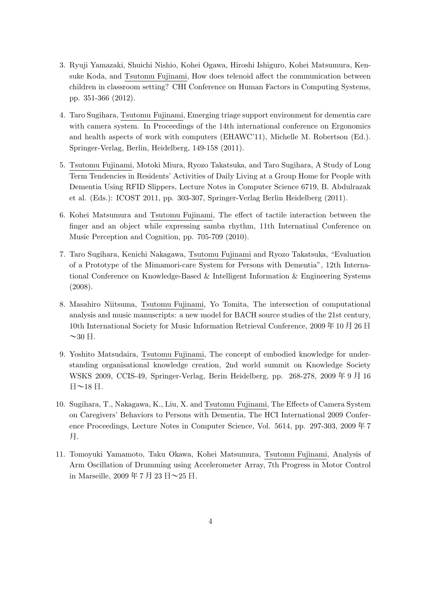- 3. Ryuji Yamazaki, Shuichi Nishio, Kohei Ogawa, Hiroshi Ishiguro, Kohei Matsumura, Kensuke Koda, and Tsutomu Fujinami, How does telenoid affect the communication between children in classroom setting? CHI Conference on Human Factors in Computing Systems, pp. 351-366 (2012).
- 4. Taro Sugihara, Tsutomu Fujinami, Emerging triage support environment for dementia care with camera system. In Proceedings of the 14th international conference on Ergonomics and health aspects of work with computers (EHAWC'11), Michelle M. Robertson (Ed.). Springer-Verlag, Berlin, Heidelberg, 149-158 (2011).
- 5. Tsutomu Fujinami, Motoki Miura, Ryozo Takatsuka, and Taro Sugihara, A Study of Long Term Tendencies in Residents' Activities of Daily Living at a Group Home for People with Dementia Using RFID Slippers, Lecture Notes in Computer Science 6719, B. Abdulrazak et al. (Eds.): ICOST 2011, pp. 303-307, Springer-Verlag Berlin Heidelberg (2011).
- 6. Kohei Matsumura and Tsutomu Fujinami, The effect of tactile interaction between the finger and an object while expressing samba rhythm, 11th Internatinal Conference on Music Perception and Cognition, pp. 705-709 (2010).
- 7. Taro Sugihara, Kenichi Nakagawa, Tsutomu Fujinami and Ryozo Takatsuka, "Evaluation of a Prototype of the Mimamori-care System for Persons with Dementia", 12th International Conference on Knowledge-Based & Intelligent Information & Engineering Systems (2008).
- 8. Masahiro Niitsuma, Tsutomu Fujinami, Yo Tomita, The intersection of computational analysis and music manuscripts: a new model for BACH source studies of the 21st century, 10th International Society for Music Information Retrieval Conference, 2009 年 10 月 26 日  $\sim$ 30 日.
- 9. Yoshito Matsudaira, Tsutomu Fujinami, The concept of embodied knowledge for understanding organisational knowledge creation, 2nd world summit on Knowledge Society WSKS 2009, CCIS-49, Springer-Verlag, Berin Heidelberg, pp. 268-278, 2009 年 9 月 16 日~18 日.
- 10. Sugihara, T., Nakagawa, K., Liu, X. and Tsutomu Fujinami, The Effects of Camera System on Caregivers' Behaviors to Persons with Dementia, The HCI International 2009 Conference Proceedings, Lecture Notes in Computer Science, Vol. 5614, pp. 297-303, 2009 年 7 月.
- 11. Tomoyuki Yamamoto, Taku Okawa, Kohei Matsumura, Tsutomu Fujinami, Analysis of Arm Oscillation of Drumming using Accelerometer Array, 7th Progress in Motor Control in Marseille,  $2009 \nleftrightarrow 7 \nleftrightarrow 23 \nleftrightarrow -25 \nleftrightarrow 1$ .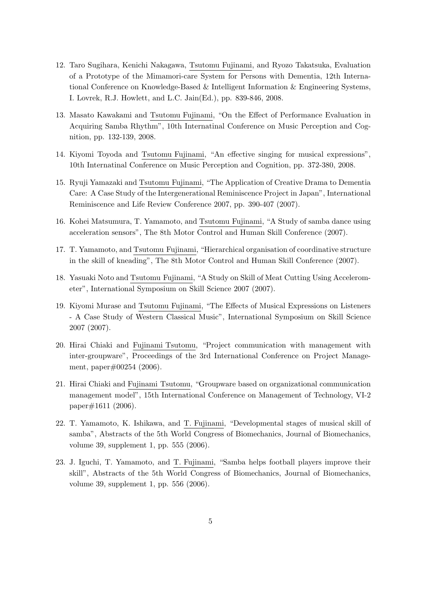- 12. Taro Sugihara, Kenichi Nakagawa, Tsutomu Fujinami, and Ryozo Takatsuka, Evaluation of a Prototype of the Mimamori-care System for Persons with Dementia, 12th International Conference on Knowledge-Based & Intelligent Information & Engineering Systems, I. Lovrek, R.J. Howlett, and L.C. Jain(Ed.), pp. 839-846, 2008.
- 13. Masato Kawakami and Tsutomu Fujinami, "On the Effect of Performance Evaluation in Acquiring Samba Rhythm", 10th Internatinal Conference on Music Perception and Cognition, pp. 132-139, 2008.
- 14. Kiyomi Toyoda and Tsutomu Fujinami, "An effective singing for musical expressions", 10th Internatinal Conference on Music Perception and Cognition, pp. 372-380, 2008.
- 15. Ryuji Yamazaki and Tsutomu Fujinami, "The Application of Creative Drama to Dementia Care: A Case Study of the Intergenerational Reminiscence Project in Japan", International Reminiscence and Life Review Conference 2007, pp. 390-407 (2007).
- 16. Kohei Matsumura, T. Yamamoto, and Tsutomu Fujinami, "A Study of samba dance using acceleration sensors", The 8th Motor Control and Human Skill Conference (2007).
- 17. T. Yamamoto, and Tsutomu Fujinami, "Hierarchical organisation of coordinative structure in the skill of kneading", The 8th Motor Control and Human Skill Conference (2007).
- 18. Yasuaki Noto and Tsutomu Fujinami, "A Study on Skill of Meat Cutting Using Accelerometer", International Symposium on Skill Science 2007 (2007).
- 19. Kiyomi Murase and Tsutomu Fujinami, "The Effects of Musical Expressions on Listeners - A Case Study of Western Classical Music", International Symposium on Skill Science 2007 (2007).
- 20. Hirai Chiaki and Fujinami Tsutomu, "Project communication with management with inter-groupware", Proceedings of the 3rd International Conference on Project Management, paper#00254 (2006).
- 21. Hirai Chiaki and Fujinami Tsutomu, "Groupware based on organizational communication management model", 15th International Conference on Management of Technology, VI-2 paper#1611 (2006).
- 22. T. Yamamoto, K. Ishikawa, and T. Fujinami, "Developmental stages of musical skill of samba", Abstracts of the 5th World Congress of Biomechanics, Journal of Biomechanics, volume 39, supplement 1, pp. 555 (2006).
- 23. J. Iguchi, T. Yamamoto, and T. Fujinami, "Samba helps football players improve their skill", Abstracts of the 5th World Congress of Biomechanics, Journal of Biomechanics, volume 39, supplement 1, pp. 556 (2006).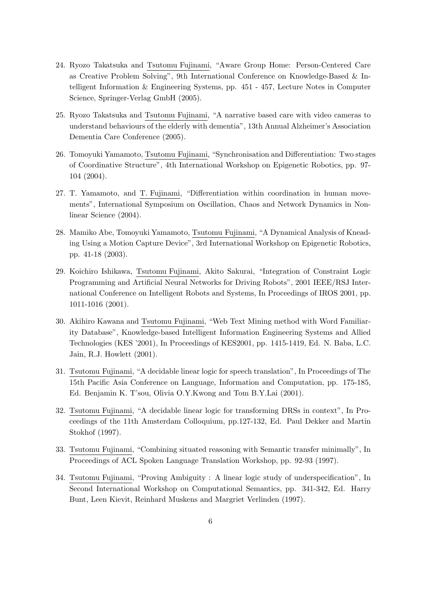- 24. Ryozo Takatsuka and Tsutomu Fujinami, "Aware Group Home: Person-Centered Care as Creative Problem Solving", 9th International Conference on Knowledge-Based & Intelligent Information & Engineering Systems, pp. 451 - 457, Lecture Notes in Computer Science, Springer-Verlag GmbH (2005).
- 25. Ryozo Takatsuka and Tsutomu Fujinami, "A narrative based care with video cameras to understand behaviours of the elderly with dementia", 13th Annual Alzheimer's Association Dementia Care Conference (2005).
- 26. Tomoyuki Yamamoto, Tsutomu Fujinami, "Synchronisation and Differentiation: Two stages of Coordinative Structure", 4th International Workshop on Epigenetic Robotics, pp. 97- 104 (2004).
- 27. T. Yamamoto, and T. Fujinami, "Differentiation within coordination in human movements", International Symposium on Oscillation, Chaos and Network Dynamics in Nonlinear Science (2004).
- 28. Mamiko Abe, Tomoyuki Yamamoto, Tsutomu Fujinami, "A Dynamical Analysis of Kneading Using a Motion Capture Device", 3rd International Workshop on Epigenetic Robotics, pp. 41-18 (2003).
- 29. Koichiro Ishikawa, Tsutomu Fujinami, Akito Sakurai, "Integration of Constraint Logic Programming and Artificial Neural Networks for Driving Robots", 2001 IEEE/RSJ International Conference on Intelligent Robots and Systems, In Proceedings of IROS 2001, pp. 1011-1016 (2001).
- 30. Akihiro Kawana and Tsutomu Fujinami, "Web Text Mining method with Word Familiarity Database", Knowledge-based Intelligent Information Engineering Systems and Allied Technologies (KES '2001), In Proceedings of KES2001, pp. 1415-1419, Ed. N. Baba, L.C. Jain, R.J. Howlett (2001).
- 31. Tsutomu Fujinami, "A decidable linear logic for speech translation", In Proceedings of The 15th Pacific Asia Conference on Language, Information and Computation, pp. 175-185, Ed. Benjamin K. T'sou, Olivia O.Y.Kwong and Tom B.Y.Lai (2001).
- 32. Tsutomu Fujinami, "A decidable linear logic for transforming DRSs in context", In Proceedings of the 11th Amsterdam Colloquium, pp.127-132, Ed. Paul Dekker and Martin Stokhof (1997).
- 33. Tsutomu Fujinami, "Combining situated reasoning with Semantic transfer minimally", In Proceedings of ACL Spoken Language Translation Workshop, pp. 92-93 (1997).
- 34. Tsutomu Fujinami, "Proving Ambiguity : A linear logic study of underspecification", In Second International Workshop on Computational Semantics, pp. 341-342, Ed. Harry Bunt, Leen Kievit, Reinhard Muskens and Margriet Verlinden (1997).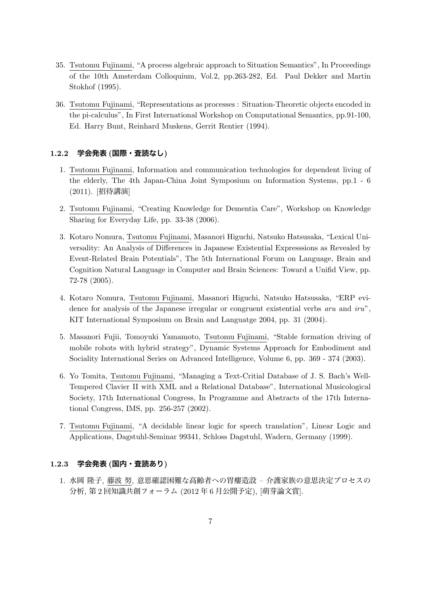- 35. Tsutomu Fujinami, "A process algebraic approach to Situation Semantics", In Proceedings of the 10th Amsterdam Colloquium, Vol.2, pp.263-282, Ed. Paul Dekker and Martin Stokhof (1995).
- 36. Tsutomu Fujinami, "Representations as processes : Situation-Theoretic objects encoded in the pi-calculus", In First International Workshop on Computational Semantics, pp.91-100, Ed. Harry Bunt, Reinhard Muskens, Gerrit Rentier (1994).

# **1.2.2 学会発表 (国際・査読なし)**

- 1. Tsutomu Fujinami, Information and communication technologies for dependent living of the elderly, The 4th Japan-China Joint Symposium on Information Systems, pp.1 - 6 (2011). [招待講演]
- 2. Tsutomu Fujinami, "Creating Knowledge for Dementia Care", Workshop on Knowledge Sharing for Everyday Life, pp. 33-38 (2006).
- 3. Kotaro Nomura, Tsutomu Fujinami, Masanori Higuchi, Natsuko Hatsusaka, "Lexical Universality: An Analysis of Differences in Japanese Existential Expresssions as Revealed by Event-Related Brain Potentials", The 5th International Forum on Language, Brain and Cognition Natural Language in Computer and Brain Sciences: Toward a Unifid View, pp. 72-78 (2005).
- 4. Kotaro Nomura, Tsutomu Fujinami, Masanori Higuchi, Natsuko Hatsusaka, "ERP evidence for analysis of the Japanese irregular or congruent existential verbs *aru* and *iru*", KIT International Symposium on Brain and Languatge 2004, pp. 31 (2004).
- 5. Masanori Fujii, Tomoyuki Yamamoto, Tsutomu Fujinami, "Stable formation driving of mobile robots with hybrid strategy", Dynamic Systems Approach for Embodiment and Sociality International Series on Advanced Intelligence, Volume 6, pp. 369 - 374 (2003).
- 6. Yo Tomita, Tsutomu Fujinami, "Managing a Text-Critial Database of J. S. Bach's Well-Tempered Clavier II with XML and a Relational Database", International Musicological Society, 17th International Congress, In Programme and Abstracts of the 17th International Congress, IMS, pp. 256-257 (2002).
- 7. Tsutomu Fujinami, "A decidable linear logic for speech translation", Linear Logic and Applications, Dagstuhl-Seminar 99341, Schloss Dagstuhl, Wadern, Germany (1999).

## **1.2.3 学会発表 (国内・査読あり)**

1. 水岡 隆子, 藤波 努, 意思確認困難な高齢者への胃瘻造設 – 介護家族の意思決定プロセスの 分析, 第 2 回知識共創フォーラム (2012 年 6 月公開予定), [萌芽論文賞].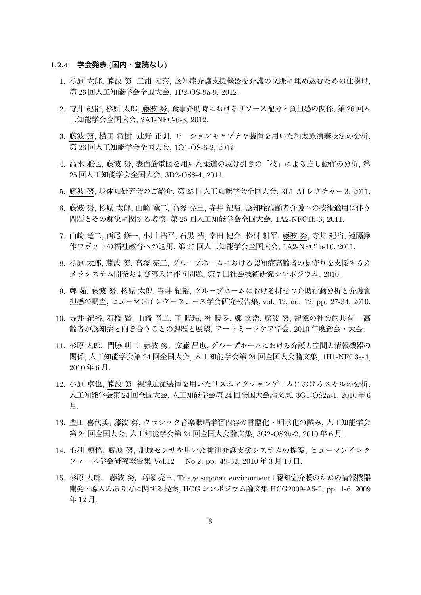#### **1.2.4 学会発表 (国内・査読なし)**

- 1. 杉原 太郎, 藤波 努, 三浦 元喜, 認知症介護支援機器を介護の文脈に埋め込むための仕掛け, 第 26 回人工知能学会全国大会, 1P2-OS-9a-9, 2012.
- 2. 寺井 紀裕, 杉原 太郎, 藤波 努, 食事介助時におけるリソース配分と負担感の関係, 第 26 回人 工知能学会全国大会, 2A1-NFC-6-3, 2012.
- 3. 藤波 努, 横田 将樹, 辻野 正訓, モーションキャプチャ装置を用いた和太鼓演奏技法の分析, 第 26 回人工知能学会全国大会, 1O1-OS-6-2, 2012.
- 4. 高木 雅也, 藤波 努, 表面筋電図を用いた柔道の駆け引きの「技」による崩し動作の分析, 第 25 回人工知能学会全国大会, 3D2-OS8-4, 2011.
- 5. 藤波 努, 身体知研究会のご紹介, 第 25 回人工知能学会全国大会, 3L1 AI レクチャー 3, 2011.
- 6. 藤波 努, 杉原 太郎, 山崎 竜二, 高塚 亮三, 寺井 紀裕, 認知症高齢者介護への技術適用に伴う 問題とその解決に関する考察, 第 25 回人工知能学会全国大会, 1A2-NFC1b-6, 2011.
- 7. 山崎 竜二, 西尾 修一, 小川 浩平, 石黒 浩, 幸田 健介, 松村 耕平, 藤波 努, 寺井 紀裕, 遠隔操 作ロボットの福祉教育への適用, 第 25 回人工知能学会全国大会, 1A2-NFC1b-10, 2011.
- 8. 杉原 太郎, 藤波 努, 高塚 亮三, グループホームにおける認知症高齢者の見守りを支援するカ メラシステム開発および導入に伴う問題, 第 7 回社会技術研究シンポジウム, 2010.
- 9. 鄭 茹, 藤波 努, 杉原 太郎, 寺井 紀裕, グループホームにおける排せつ介助行動分析と介護負 担感の調査, ヒューマンインターフェース学会研究報告集, vol. 12, no. 12, pp. 27-34, 2010.
- 10. 寺井 紀裕, 石橋 賢, 山崎 竜二, 王 暁玲, 杜 暁冬, 鄭 文浩, 藤波 努, 記憶の社会的共有 高 齢者が認知症と向き合うことの課題と展望, アートミーツケア学会, 2010 年度総会・大会.
- 11. 杉原 太郎,門脇 耕三, 藤波 努,安藤 昌也, グループホームにおける介護と空間と情報機器の 関係, 人工知能学会第 24 回全国大会, 人工知能学会第 24 回全国大会論文集, 1H1-NFC3a-4, 2010 年 6 月.
- 12. 小原 卓也, 藤波 努, 視線追従装置を用いたリズムアクションゲームにおけるスキルの分析, 人工知能学会第 24 回全国大会, 人工知能学会第 24 回全国大会論文集, 3G1-OS2a-1, 2010 年 6 月.
- 13. 豊田 喜代美, 藤波 努, クラシック音楽歌唱学習内容の言語化・明示化の試み, 人工知能学会 第 24 回全国大会, 人工知能学会第 24 回全国大会論文集, 3G2-OS2b-2, 2010 年 6 月.
- 14. 毛利 槙悟, 藤波 努, 測域センサを用いた排泄介護支援システムの提案, ヒューマンインタ フェース学会研究報告集 Vol.12 No.2, pp. 49-52, 2010 年 3 月 19 日.
- 15. 杉原 太郎, 藤波 努,高塚 亮三, Triage support environment:認知症介護のための情報機器 開発・導入のあり方に関する提案, HCG シンポジウム論文集 HCG2009-A5-2, pp. 1-6, 2009 年 12 月.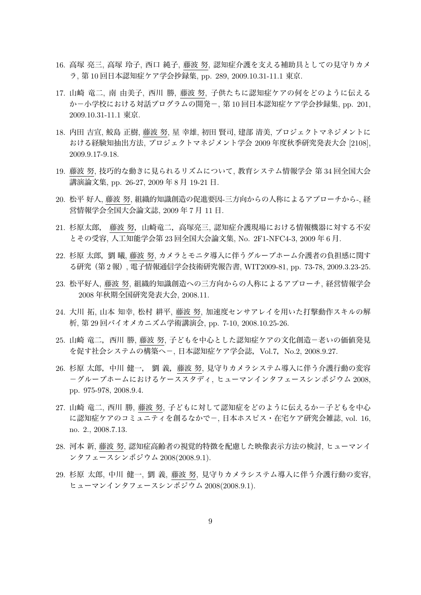- 16. 高塚 亮三, 高塚 玲子, 西口 純子, 藤波 努, 認知症介護を支える補助具としての見守りカメ ラ, 第 10 回日本認知症ケア学会抄録集, pp. 289, 2009.10.31-11.1 東京.
- 17. 山崎 竜二, 南 由美子, 西川 勝, 藤波 努, 子供たちに認知症ケアの何をどのように伝える か-小学校における対話プログラムの開発-, 第 10 回日本認知症ケア学会抄録集, pp. 201, 2009.10.31-11.1 東京.
- 18. 内田 吉宣, 鮫島 正樹, 藤波 努, 星 幸雄, 初田 賢司, 建部 清美, プロジェクトマネジメントに おける経験知抽出方法, プロジェクトマネジメント学会 2009 年度秋季研究発表大会 [2108], 2009.9.17-9.18.
- 19. 藤波 努, 技巧的な動きに見られるリズムについて, 教育システム情報学会 第 34 回全国大会 講演論文集, pp. 26-27, 2009 年 8 月 19-21 日.
- 20. 松平 好人, 藤波 努, 組織的知識創造の促進要因-三方向からの人称によるアプローチから-, 経 営情報学会全国大会論文誌, 2009 年 7 月 11 日.
- 21. 杉原太郎, 藤波 努,山崎竜二,高塚亮三, 認知症介護現場における情報機器に対する不安 とその受容, 人工知能学会第 23 回全国大会論文集, No. 2F1-NFC4-3, 2009 年 6 月.
- 22. 杉原 太郎, 劉 曦, 藤波 努, カメラとモニタ導入に伴うグループホーム介護者の負担感に関す る研究(第 2 報), 電子情報通信学会技術研究報告書, WIT2009-81, pp. 73-78, 2009.3.23-25.
- 23. 松平好人, 藤波 努, 組織的知識創造への三方向からの人称によるアプローチ, 経営情報学会 2008 年秋期全国研究発表大会, 2008.11.
- 24. 大川 拓, 山本 知幸, 松村 耕平, 藤波 努, 加速度センサアレイを用いた打撃動作スキルの解 析, 第 29 回バイオメカニズム学術講演会, pp. 7-10, 2008.10.25-26.
- 25. 山崎 竜二, 西川 勝, 藤波 努, 子どもを中心とした認知症ケアの文化創造-老いの価値発見 を促す社会システムの構築へー, 日本認知症ケア学会誌, Vol.7, No.2, 2008.9.27.
- 26. 杉原 太郎,中川 健一, 劉 義,藤波 努, 見守りカメラシステム導入に伴う介護行動の変容 -グループホームにおけるケーススタディ, ヒューマンインタフェースシンポジウム 2008, pp. 975-978, 2008.9.4.
- 27. 山崎 竜二, 西川 勝, 藤波 努, 子どもに対して認知症をどのように伝えるか-子どもを中心 に認知症ケアのコミュニティを創るなかでー, 日本ホスピス・在宅ケア研究会雑誌, vol. 16, no. 2., 2008.7.13.
- 28. 河本 新, 藤波 努, 認知症高齢者の視覚的特徴を配慮した映像表示方法の検討, ヒューマンイ ンタフェースシンポジウム 2008(2008.9.1).
- 29. 杉原 太郎, 中川 健一, 劉 義, 藤波 努, 見守りカメラシステム導入に伴う介護行動の変容, ヒューマンインタフェースシンポジウム 2008(2008.9.1).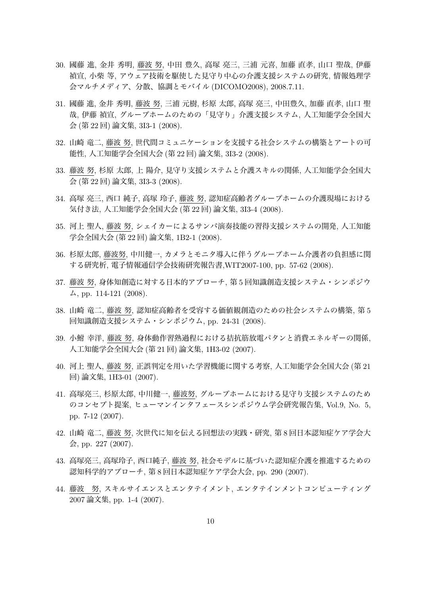- 30. 國藤 進, 金井 秀明, 藤波 努, 中田 豊久, 高塚 亮三, 三浦 元喜, 加藤 直孝, 山口 聖哉, 伊藤 禎宣, 小柴 等, アウェア技術を駆使した見守り中心の介護支援システムの研究, 情報処理学 会マルチメディア、分散、協調とモバイル (DICOMO2008), 2008.7.11.
- 31. 國藤 進, 金井 秀明, 藤波 努, 三浦 元樹, 杉原 太郎, 高塚 亮三, 中田豊久, 加藤 直孝, 山口 聖 哉, 伊藤 禎宣, グループホームのための「見守り」介護支援システム, 人工知能学会全国大 会 (第 22 回) 論文集, 3I3-1 (2008).
- 32. 山崎 竜二, 藤波 努, 世代間コミュニケーションを支援する社会システムの構築とアートの可 能性, 人工知能学会全国大会 (第 22 回) 論文集, 3I3-2 (2008).
- 33. 藤波 努, 杉原 太郎, 上 陽介, 見守り支援システムと介護スキルの関係, 人工知能学会全国大 会 (第 22 回) 論文集, 3I3-3 (2008).
- 34. 高塚 亮三, 西口 純子, 高塚 玲子, 藤波 努, 認知症高齢者グループホームの介護現場における 気付き法, 人工知能学会全国大会 (第 22 回) 論文集, 3I3-4 (2008).
- 35. 河上 聖人, 藤波 努, シェイカーによるサンバ演奏技能の習得支援システムの開発, 人工知能 学会全国大会 (第 22 回) 論文集, 1B2-1 (2008).
- 36. 杉原太郎, 藤波努, 中川健一, カメラとモニタ導入に伴うグループホーム介護者の負担感に関 する研究析, 電子情報通信学会技術研究報告書,WIT2007-100, pp. 57-62 (2008).
- 37. 藤波 努, 身体知創造に対する日本的アプローチ, 第 5 回知識創造支援システム・シンポジウ ム, pp. 114-121 (2008).
- 38. 山崎 竜二, 藤波 努, 認知症高齢者を受容する価値観創造のための社会システムの構築, 第 5 回知識創造支援システム・シンポジウム, pp. 24-31 (2008).
- 39. 小鮒 幸洋, 藤波 努, 身体動作習熟過程における拮抗筋放電パタンと消費エネルギーの関係, 人工知能学会全国大会 (第 21 回) 論文集, 1H3-02 (2007).
- 40. 河上 聖人, 藤波 努, 正誤判定を用いた学習機能に関する考察, 人工知能学会全国大会 (第 21 回) 論文集, 1H3-01 (2007).
- 41. 高塚亮三, 杉原太郎, 中川健一, 藤波努, グループホームにおける見守り支援システムのため のコンセプト提案, ヒューマンインタフェースシンポジウム学会研究報告集, Vol.9, No. 5, pp. 7-12 (2007).
- 42. 山崎 竜二, 藤波 努, 次世代に知を伝える回想法の実践・研究, 第 8 回日本認知症ケア学会大 会, pp. 227 (2007).
- 43. 高塚亮三, 高塚玲子, 西口純子, 藤波 努, 社会モデルに基づいた認知症介護を推進するための 認知科学的アプローチ, 第 8 回日本認知症ケア学会大会, pp. 290 (2007).
- 44. 藤波 努, スキルサイエンスとエンタテイメント, エンタテインメントコンピューティング 2007 論文集, pp. 1-4 (2007).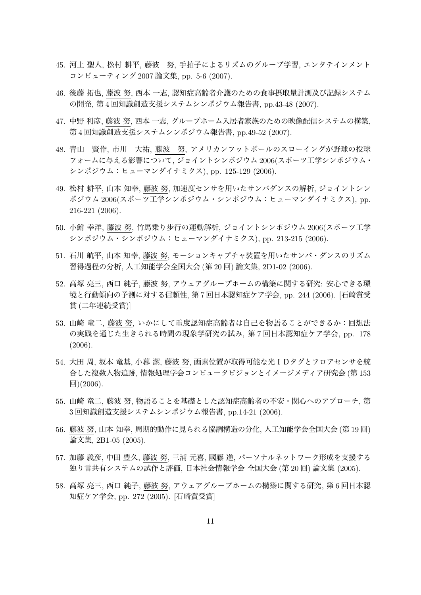- 45. 河上 聖人, 松村 耕平, 藤波 努, 手拍子によるリズムのグループ学習, エンタテインメント コンピューティング 2007 論文集, pp. 5-6 (2007).
- 46. 後藤 拓也, 藤波 努, 西本 一志, 認知症高齢者介護のための食事摂取量計測及び記録システム の開発, 第 4 回知識創造支援システムシンポジウム報告書, pp.43-48 (2007).
- 47. 中野 利彦, 藤波 努, 西本 一志, グループホーム入居者家族のための映像配信システムの構築, 第 4 回知識創造支援システムシンポジウム報告書, pp.49-52 (2007).
- 48. 青山 賢作, 市川 大祐, 藤波 努, アメリカンフットボールのスローイングが野球の投球 フォームに与える影響について, ジョイントシンポジウム 2006(スポーツ工学シンポジウム・ シンポジウム:ヒューマンダイナミクス), pp. 125-129 (2006).
- 49. 松村 耕平, 山本 知幸, 藤波 努, 加速度センサを用いたサンバダンスの解析, ジョイントシン ポジウム 2006(スポーツ工学シンポジウム・シンポジウム:ヒューマンダイナミクス), pp. 216-221 (2006).
- 50. 小鮒 幸洋, 藤波 努, 竹馬乗り歩行の運動解析, ジョイントシンポジウム 2006(スポーツ工学 シンポジウム・シンポジウム:ヒューマンダイナミクス), pp. 213-215 (2006).
- 51. 石川 航平, 山本 知幸, 藤波 努, モーションキャプチャ装置を用いたサンバ・ダンスのリズム 習得過程の分析, 人工知能学会全国大会 (第 20 回) 論文集, 2D1-02 (2006).
- 52. 高塚 亮三, 西口 純子, 藤波 努, アウェアグループホームの構築に関する研究: 安心できる環 境と行動傾向の予測に対する信頼性, 第 7 回日本認知症ケア学会, pp. 244 (2006). [石崎賞受 賞 (二年連続受賞)]
- 53. 山崎 竜二, 藤波 努, いかにして重度認知症高齢者は自己を物語ることができるか:回想法 の実践を通じた生きられる時間の現象学研究の試み, 第 7 回日本認知症ケア学会, pp. 178 (2006).
- 54. 大田 周, 坂本 竜基, 小暮 潔, 藤波 努, 画素位置が取得可能な光IDタグとフロアセンサを統 合した複数人物追跡, 情報処理学会コンピュータビジョンとイメージメディア研究会 (第 153 回)(2006).
- 55. 山崎 竜二, 藤波 努, 物語ることを基礎とした認知症高齢者の不安・関心へのアプローチ, 第 3 回知識創造支援システムシンポジウム報告書, pp.14-21 (2006).
- 56. 藤波 努, 山本 知幸, 周期的動作に見られる協調構造の分化, 人工知能学会全国大会 (第 19 回) 論文集, 2B1-05 (2005).
- 57. 加藤 義彦, 中田 豊久, 藤波 努, 三浦 元喜, 國藤 進, パーソナルネットワーク形成を支援する 独り言共有システムの試作と評価, 日本社会情報学会 全国大会 (第 20 回) 論文集 (2005).
- 58. 高塚 亮三, 西口 純子, 藤波 努, アウェアグループホームの構築に関する研究, 第 6 回日本認 知症ケア学会, pp. 272 (2005). [石崎賞受賞]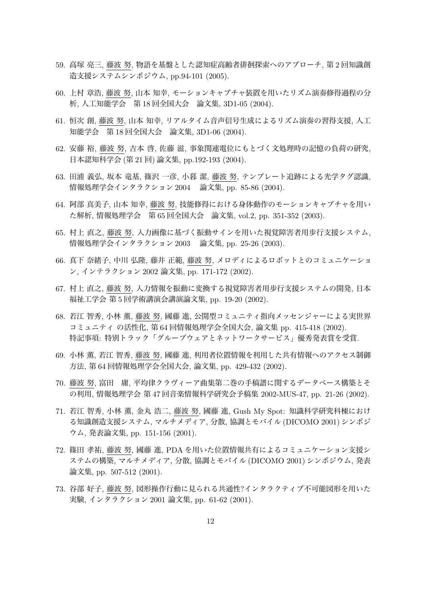- 59. 高塚 亮三, 藤波 努, 物語を基盤とした認知症高齢者徘徊探索へのアプローチ, 第 2 回知識創 造支援システムシンポジウム, pp.94-101 (2005).
- 60. 上村 章浩, 藤波 努, 山本 知幸, モーションキャプチャ装置を用いたリズム演奏修得過程の分 析, 人工知能学会 第 18 回全国大会 論文集, 3D1-05 (2004).
- 61. 恒次 創, 藤波 努, 山本 知幸, リアルタイム音声信号生成によるリズム演奏の習得支援, 人工 知能学会 第 18 回全国大会 論文集, 3D1-06 (2004).
- 62. 安藤 裕, 藤波 努, 吉本 啓, 佐藤 滋, 事象関連電位にもとづく文処理時の記憶の負荷の研究, 日本認知科学会 (第 21 回) 論文集, pp.192-193 (2004).
- 63. 田浦 義弘, 坂本 竜基, 篠沢 一彦, 小暮 潔, 藤波 努, テンプレート追跡による光学タグ認識, 情報処理学会インタラクション 2004 論文集, pp. 85-86 (2004).
- 64. 阿部 真美子, 山本 知幸, 藤波 努, 技能修得における身体動作のモーションキャプチャを用い た解析, 情報処理学会 第 65 回全国大会 論文集, vol.2, pp. 351-352 (2003).
- 65. 村上 直之, 藤波 努, 入力画像に基づく振動サインを用いた視覚障害者用歩行支援システム, 情報処理学会インタラクション 2003 論文集, pp. 25-26 (2003).
- 66. 真下 奈緒子, 中川 弘隆, 藤井 正範, 藤波 努, メロディによるロボットとのコミュニケーショ ン, インテラクション 2002 論文集, pp. 171-172 (2002).
- 67. 村上 直之, 藤波 努, 入力情報を振動に変換する視覚障害者用歩行支援システムの開発, 日本 福祉工学会 第 5 回学術講演会講演論文集, pp. 19-20 (2002).
- 68. 若江 智秀, 小林 薫, 藤波 努, 國藤 進, 公開型コミュニティ指向メッセンジャーによる実世界 コミュニティ の活性化, 第 64 回情報処理学会全国大会, 論文集 pp. 415-418 (2002). 特記事項: 特別トラック「グループウェアとネットワークサービス」優秀発表賞を受賞.
- 69. 小林 薫, 若江 智秀, 藤波 努, 國藤 進, 利用者位置情報を利用した共有情報へのアクセス制御 方法, 第 64 回情報処理学会全国大会, 論文集, pp. 429-432 (2002).
- 70. 藤波 努, 富田 庸, 平均律クラヴィーア曲集第二巻の手稿譜に関するデータベース構築とそ の利用, 情報処理学会 第 47 回音楽情報科学研究会予稿集 2002-MUS-47, pp. 21-26 (2002).
- 71. 若江 智秀, 小林 薫, 金丸 浩二, 藤波 努, 國藤 進, Gush My Spot: 知識科学研究科棟におけ る知識創造支援システム, マルチメディア, 分散, 協調とモバイル (DICOMO 2001) シンポジ ウム, 発表論文集, pp. 151-156 (2001).
- 72. 篠田 孝祐, 藤波 努, 國藤 進, PDA を用いた位置情報共有によるコミュニケーション支援シ ステムの構築, マルチメディア, 分散, 協調とモバイル (DICOMO 2001) シンポジウム, 発表 論文集, pp. 507-512 (2001).
- 73. 谷部 好子, 藤波 努, 図形操作行動に見られる共通性?インタラクティブ不可能図形を用いた 実験, インタラクション 2001 論文集, pp. 61-62 (2001).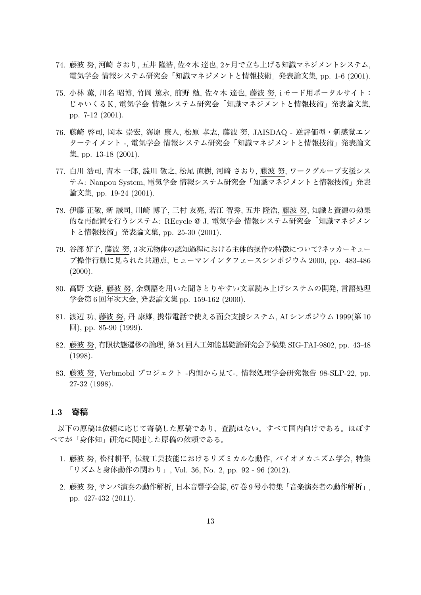- 74. 藤波 努, 河崎 さおり, 五井 隆浩, 佐々木 達也, 2ヶ月で立ち上げる知識マネジメントシステム, 電気学会 情報システム研究会「知識マネジメントと情報技術」発表論文集, pp. 1-6 (2001).
- 75. 小林 薫, 川名 昭博, 竹岡 篤永, 前野 勉, 佐々木 達也, 藤波 努, i モード用ポータルサイト: じゃいくるK, 電気学会 情報システム研究会「知識マネジメントと情報技術」発表論文集, pp. 7-12 (2001).
- 76. 藤崎 啓司, 岡本 崇宏, 海原 康人, 松原 孝志, 藤波 努, JAISDAQ 逆評価型・新感覚エン ターテイメント -, 電気学会 情報システム研究会「知識マネジメントと情報技術」発表論文 集, pp. 13-18 (2001).
- 77. 白川 浩司, 青木 一郎, 澁川 敬之, 松尾 直樹, 河崎 さおり, 藤波 努, ワークグループ支援シス テム: Nanpou System, 電気学会 情報システム研究会「知識マネジメントと情報技術」発表 論文集, pp. 19-24 (2001).
- 78. 伊藤 正敬, 新 誠司, 川崎 博子, 三村 友亮, 若江 智秀, 五井 隆浩, 藤波 努, 知識と資源の効果 的な再配置を行うシステム: REcycle @ J, 電気学会 情報システム研究会「知識マネジメン トと情報技術」発表論文集, pp. 25-30 (2001).
- 79. 谷部 好子, 藤波 努, 3次元物体の認知過程における主体的操作の特徴について?ネッカーキュー ブ操作行動に見られた共通点, ヒューマンインタフェースシンポジウム 2000, pp. 483-486  $(2000).$
- 80. 高野 文徳, 藤波 努, 余剰語を用いた聞きとりやすい文章読み上げシステムの開発, 言語処理 学会第 6 回年次大会, 発表論文集 pp. 159-162 (2000).
- 81. 渡辺 功, 藤波 努, 丹 康雄, 携帯電話で使える面会支援システム, AI シンポジウム 1999(第 10 回), pp. 85-90 (1999).
- 82. 藤波 努, 有限状態遷移の論理, 第34回人工知能基礎論研究会予稿集 SIG-FAI-9802, pp. 43-48 (1998).
- 83. 藤波 努, Verbmobil プロジェクト -内側から見て-, 情報処理学会研究報告 98-SLP-22, pp. 27-32 (1998).

#### **1.3 寄稿**

以下の原稿は依頼に応じて寄稿した原稿であり、査読はない。すべて国内向けである。ほぼす べてが「身体知」研究に関連した原稿の依頼である。

- 1. 藤波 努, 松村耕平, 伝統工芸技能におけるリズミカルな動作, バイオメカニズム学会, 特集 「リズムと身体動作の関わり」, Vol. 36, No. 2, pp. 92 - 96 (2012).
- 2. 藤波 努, サンバ演奏の動作解析, 日本音響学会誌, 67 巻 9 号小特集「音楽演奏者の動作解析」, pp. 427-432 (2011).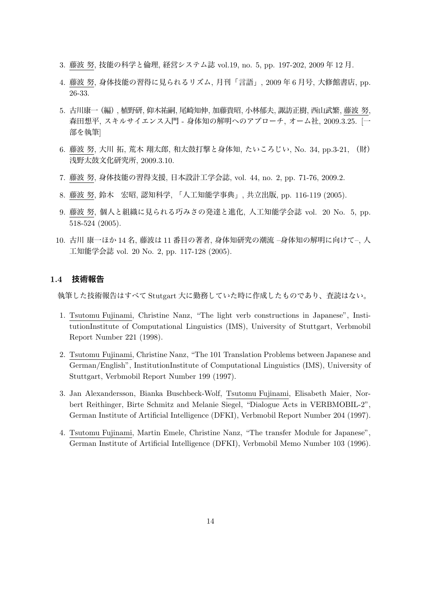- 3. 藤波 努, 技能の科学と倫理, 経営システム誌 vol.19, no. 5, pp. 197-202, 2009 年 12 月.
- 4. 藤波 努, 身体技能の習得に見られるリズム, 月刊「言語」, 2009 年 6 月号, 大修館書店, pp. 26-33.
- 5. 古川康一(編), 植野研, 仰木祐嗣, 尾崎知伸, 加藤貴昭, 小林郁夫, 諏訪正樹, 西山武繁, 藤波 努, 森田想平, スキルサイエンス入門 - 身体知の解明へのアプローチ, オーム社, 2009.3.25. [一 部を執筆]
- 6. 藤波 努, 大川 拓, 荒木 翔太郎, 和太鼓打撃と身体知, たいころじい, No. 34, pp.3-21, (財) 浅野太鼓文化研究所, 2009.3.10.
- 7. 藤波 努, 身体技能の習得支援, 日本設計工学会誌, vol. 44, no. 2, pp. 71-76, 2009.2.
- 8. 藤波 努, 鈴木 宏昭, 認知科学, 「人工知能学事典」, 共立出版, pp. 116-119 (2005).
- 9. 藤波 努, 個人と組織に見られる巧みさの発達と進化, 人工知能学会誌 vol. 20 No. 5, pp. 518-524 (2005).
- 10. 古川 康一ほか 14 名, 藤波は 11 番目の著者, 身体知研究の潮流 –身体知の解明に向けて–, 人 工知能学会誌 vol. 20 No. 2, pp. 117-128 (2005).

## **1.4 技術報告**

執筆した技術報告はすべて Stutgart 大に勤務していた時に作成したものであり、査読はない。

- 1. Tsutomu Fujinami, Christine Nanz, "The light verb constructions in Japanese", InstitutionInstitute of Computational Linguistics (IMS), University of Stuttgart, Verbmobil Report Number 221 (1998).
- 2. Tsutomu Fujinami, Christine Nanz, "The 101 Translation Problems between Japanese and German/English", InstitutionInstitute of Computational Linguistics (IMS), University of Stuttgart, Verbmobil Report Number 199 (1997).
- 3. Jan Alexandersson, Bianka Buschbeck-Wolf, Tsutomu Fujinami, Elisabeth Maier, Norbert Reithinger, Birte Schmitz and Melanie Siegel, "Dialogue Acts in VERBMOBIL-2", German Institute of Artificial Intelligence (DFKI), Verbmobil Report Number 204 (1997).
- 4. Tsutomu Fujinami, Martin Emele, Christine Nanz, "The transfer Module for Japanese", German Institute of Artificial Intelligence (DFKI), Verbmobil Memo Number 103 (1996).